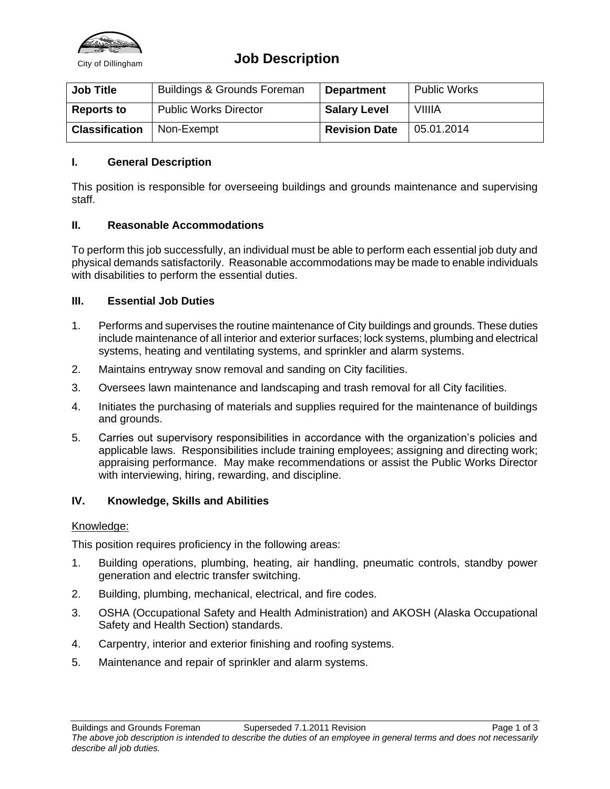

## **City of Dillingham Job Description**

| <b>Job Title</b>      | <b>Buildings &amp; Grounds Foreman</b> | <b>Department</b>    | <b>Public Works</b> |
|-----------------------|----------------------------------------|----------------------|---------------------|
| <b>Reports to</b>     | <b>Public Works Director</b>           | <b>Salary Level</b>  | <b>VIIIIA</b>       |
| <b>Classification</b> | Non-Exempt                             | <b>Revision Date</b> | 05.01.2014          |

## **I. General Description**

This position is responsible for overseeing buildings and grounds maintenance and supervising staff.

#### **II. Reasonable Accommodations**

To perform this job successfully, an individual must be able to perform each essential job duty and physical demands satisfactorily. Reasonable accommodations may be made to enable individuals with disabilities to perform the essential duties.

#### **III. Essential Job Duties**

- 1. Performs and supervises the routine maintenance of City buildings and grounds. These duties include maintenance of all interior and exterior surfaces; lock systems, plumbing and electrical systems, heating and ventilating systems, and sprinkler and alarm systems.
- 2. Maintains entryway snow removal and sanding on City facilities.
- 3. Oversees lawn maintenance and landscaping and trash removal for all City facilities.
- 4. Initiates the purchasing of materials and supplies required for the maintenance of buildings and grounds.
- 5. Carries out supervisory responsibilities in accordance with the organization's policies and applicable laws. Responsibilities include training employees; assigning and directing work; appraising performance. May make recommendations or assist the Public Works Director with interviewing, hiring, rewarding, and discipline.

## **IV. Knowledge, Skills and Abilities**

#### Knowledge:

This position requires proficiency in the following areas:

- 1. Building operations, plumbing, heating, air handling, pneumatic controls, standby power generation and electric transfer switching.
- 2. Building, plumbing, mechanical, electrical, and fire codes.
- 3. OSHA (Occupational Safety and Health Administration) and AKOSH (Alaska Occupational Safety and Health Section) standards.
- 4. Carpentry, interior and exterior finishing and roofing systems.
- 5. Maintenance and repair of sprinkler and alarm systems.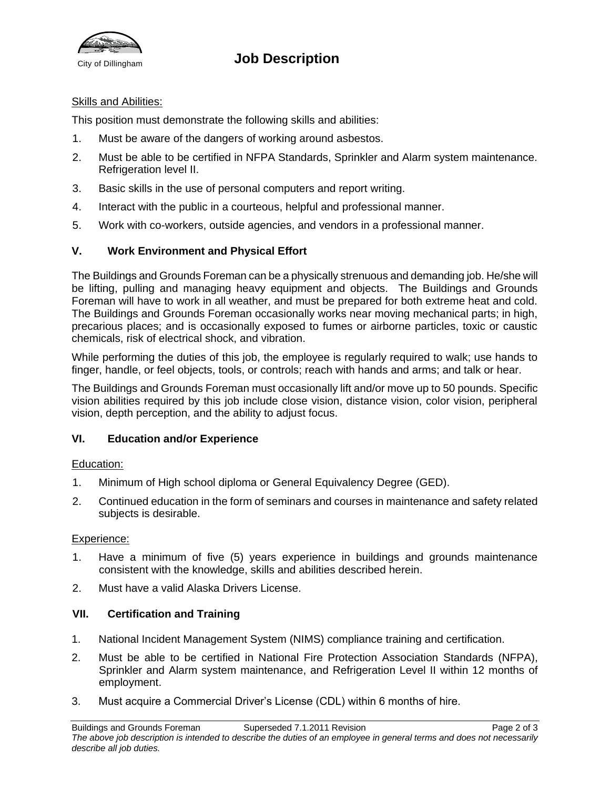

# **City of Dillingham Job Description**

#### Skills and Abilities:

This position must demonstrate the following skills and abilities:

- 1. Must be aware of the dangers of working around asbestos.
- 2. Must be able to be certified in NFPA Standards, Sprinkler and Alarm system maintenance. Refrigeration level II.
- 3. Basic skills in the use of personal computers and report writing.
- 4. Interact with the public in a courteous, helpful and professional manner.
- 5. Work with co-workers, outside agencies, and vendors in a professional manner.

## **V. Work Environment and Physical Effort**

The Buildings and Grounds Foreman can be a physically strenuous and demanding job. He/she will be lifting, pulling and managing heavy equipment and objects. The Buildings and Grounds Foreman will have to work in all weather, and must be prepared for both extreme heat and cold. The Buildings and Grounds Foreman occasionally works near moving mechanical parts; in high, precarious places; and is occasionally exposed to fumes or airborne particles, toxic or caustic chemicals, risk of electrical shock, and vibration.

While performing the duties of this job, the employee is regularly required to walk; use hands to finger, handle, or feel objects, tools, or controls; reach with hands and arms; and talk or hear.

The Buildings and Grounds Foreman must occasionally lift and/or move up to 50 pounds. Specific vision abilities required by this job include close vision, distance vision, color vision, peripheral vision, depth perception, and the ability to adjust focus.

#### **VI. Education and/or Experience**

#### Education:

- 1. Minimum of High school diploma or General Equivalency Degree (GED).
- 2. Continued education in the form of seminars and courses in maintenance and safety related subjects is desirable.

#### Experience:

- 1. Have a minimum of five (5) years experience in buildings and grounds maintenance consistent with the knowledge, skills and abilities described herein.
- 2. Must have a valid Alaska Drivers License.

## **VII. Certification and Training**

- 1. National Incident Management System (NIMS) compliance training and certification.
- 2. Must be able to be certified in National Fire Protection Association Standards (NFPA), Sprinkler and Alarm system maintenance, and Refrigeration Level II within 12 months of employment.
- 3. Must acquire a Commercial Driver's License (CDL) within 6 months of hire.